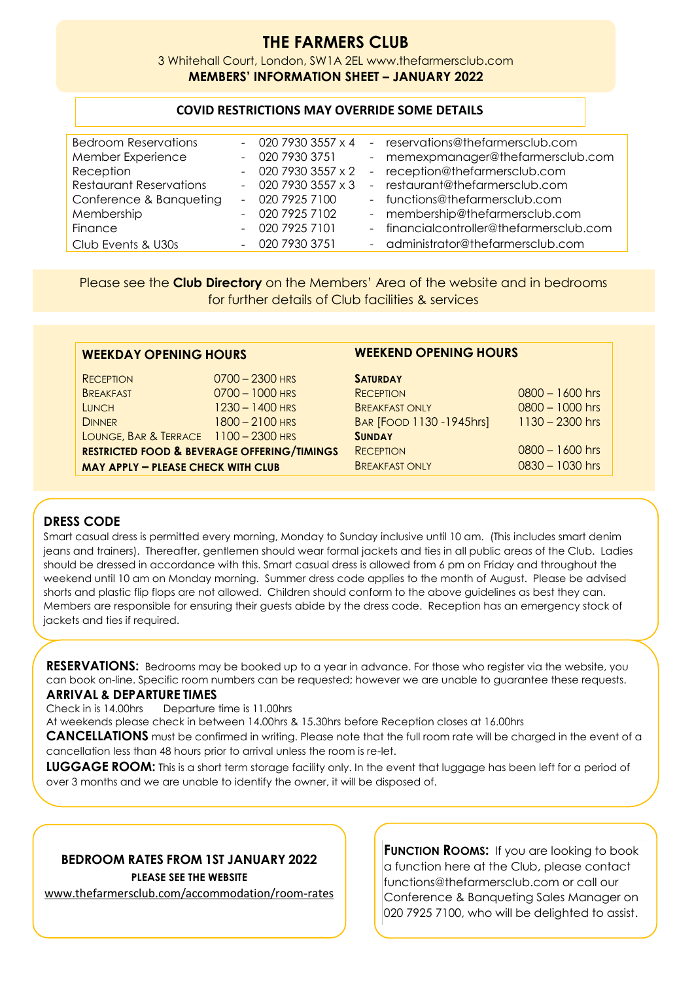# **THE FARMERS CLUB**

3 Whitehall Court, London, SW1A 2EL www.thefarmersclub.com **MEMBERS' INFORMATION SHEET – JANUARY 2022**

## **COVID RESTRICTIONS MAY OVERRIDE SOME DETAILS**

| <b>Bedroom Reservations</b>    | $-02079303557 \times 4$ |                     | - reservations@thefarmersclub.com        |
|--------------------------------|-------------------------|---------------------|------------------------------------------|
| Member Experience              | $-02079303751$          | $\omega_{\rm{max}}$ | memexpmanager@thefarmersclub.com         |
| Reception                      | $-02079303557 \times 2$ |                     | - reception@thefarmersclub.com           |
| <b>Restaurant Reservations</b> | $-02079303557 \times 3$ |                     | - restaurant@thefarmersclub.com          |
| Conference & Banqueting        | $-02079257100$          |                     | - functions@thefarmersclub.com           |
| Membership                     | $-02079257102$          |                     | - membership@thefarmersclub.com          |
| Finance                        | $-02079257101$          |                     | - financialcontroller@thefarmersclub.com |
| Club Events & U30s             | $-02079303751$          |                     | - administrator@thefarmersclub.com       |

Please see the **Club Directory** on the Members' Area of the website and in bedrooms for further details of Club facilities & services

|  |  | WEEKDAY OPENING HOURS |  |
|--|--|-----------------------|--|
|  |  |                       |  |

| <b>RECEPTION</b>                          | $0700 - 2300$ HRS                                      | <b>SATURDAY</b>          |                   |
|-------------------------------------------|--------------------------------------------------------|--------------------------|-------------------|
| <b>BREAKFAST</b>                          | $0700 - 1000$ HRS                                      | <b>RECEPTION</b>         | $0800 - 1600$ hrs |
| <b>LUNCH</b>                              | $1230 - 1400$ HRS                                      | <b>BREAKFAST ONLY</b>    | 0800 - 1000 hrs   |
| <b>DINNER</b>                             | $1800 - 2100$ HRS                                      | BAR [FOOD 1130 -1945hrs] | $1130 - 2300$ hrs |
| LOUNGE, BAR & TERRACE 1100 - 2300 HRS     |                                                        | <b>SUNDAY</b>            |                   |
|                                           | <b>RESTRICTED FOOD &amp; BEVERAGE OFFERING/TIMINGS</b> | <b>RECEPTION</b>         | $0800 - 1600$ hrs |
| <b>MAY APPLY - PLEASE CHECK WITH CLUB</b> |                                                        | <b>BREAKFAST ONLY</b>    | 0830 - 1030 hrs   |
|                                           |                                                        |                          |                   |

# **WEEKEND OPENING HOURS**

#### RECEPTION 0700 – 2300 HRS **SATURDAY**

| <b>RECEPTION</b>         | $0800 - 1600$ hrs |
|--------------------------|-------------------|
| <b>BREAKFAST ONLY</b>    | 0800 - 1000 hrs   |
| BAR [FOOD 1130 -1945hrs] | $1130 - 2300$ hrs |
| <b>SUNDAY</b>            |                   |
| <b>RECEPTION</b>         | $0800 - 1600$ hrs |
| <b>BREAKFAST ONLY</b>    | $0830 - 1030$ hrs |
|                          |                   |

# **DRESS CODE**

Smart casual dress is permitted every morning, Monday to Sunday inclusive until 10 am. (This includes smart denim jeans and trainers). Thereafter, gentlemen should wear formal jackets and ties in all public areas of the Club. Ladies should be dressed in accordance with this. Smart casual dress is allowed from 6 pm on Friday and throughout the weekend until 10 am on Monday morning. Summer dress code applies to the month of August. Please be advised shorts and plastic flip flops are not allowed. Children should conform to the above guidelines as best they can. Members are responsible for ensuring their guests abide by the dress code. Reception has an emergency stock of jackets and ties if required.

**RESERVATIONS:** Bedrooms may be booked up to a year in advance. For those who register via the website, you can book on-line. Specific room numbers can be requested; however we are unable to guarantee these requests.

#### **ARRIVAL & DEPARTURE TIMES**

Check in is 14.00hrs Departure time is 11.00hrs

At weekends please check in between 14.00hrs & 15.30hrs before Reception closes at 16.00hrs

**CANCELLATIONS** must be confirmed in writing. Please note that the full room rate will be charged in the event of a cancellation less than 48 hours prior to arrival unless the room is re-let.

**LUGGAGE ROOM:** This is a short term storage facility only. In the event that luggage has been left for a period of over 3 months and we are unable to identify the owner, it will be disposed of.

#### **BEDROOM RATES FROM 1ST JANUARY 2022 PLEASE SEE THE WEBSITE**

[www.thefarmersclub.com/accommodation/room-rates](https://www.thefarmersclub.com/accommodation/room-rates)

**FUNCTION ROOMS:** If you are looking to book a function here at the Club, please contact functions@thefarmersclub.com or call our Conference & Banqueting Sales Manager on 020 7925 7100, who will be delighted to assist.